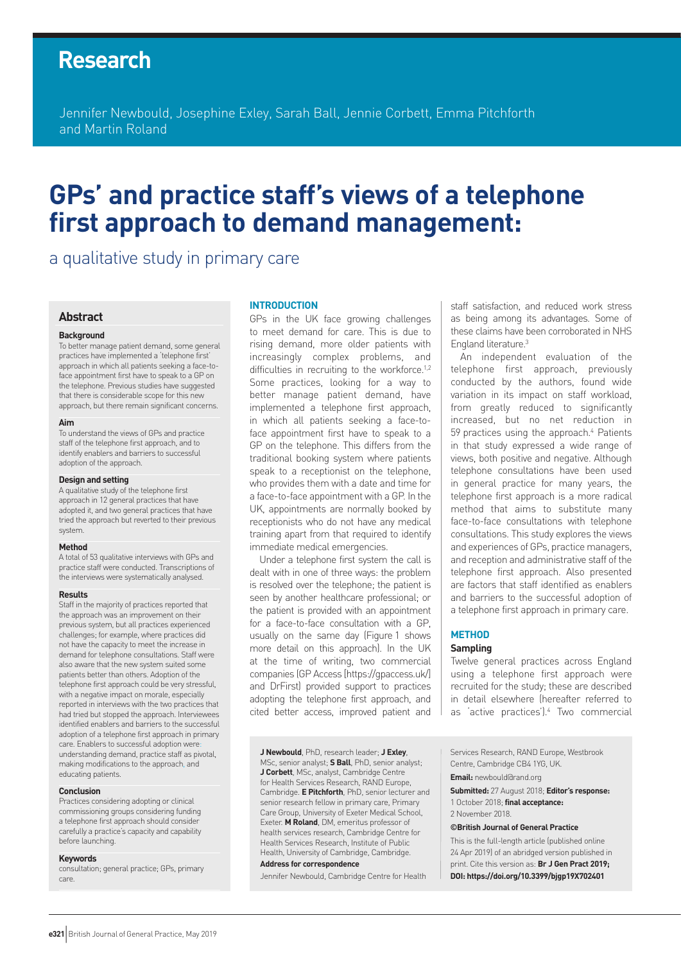# **Research**

Jennifer Newbould, Josephine Exley, Sarah Ball, Jennie Corbett, Emma Pitchforth and Martin Roland

# **GPs' and practice staff's views of a telephone first approach to demand management:**

a qualitative study in primary care

# **Abstract**

#### **Background**

To better manage patient demand, some general practices have implemented a 'telephone first' approach in which all patients seeking a face-toface appointment first have to speak to a GP on the telephone. Previous studies have suggested that there is considerable scope for this new approach, but there remain significant concerns.

#### **Aim**

To understand the views of GPs and practice staff of the telephone first approach, and to identify enablers and barriers to successful adoption of the approach.

#### **Design and setting**

A qualitative study of the telephone first approach in 12 general practices that have adopted it, and two general practices that have tried the approach but reverted to their previous system.

#### **Method**

A total of 53 qualitative interviews with GPs and practice staff were conducted. Transcriptions of the interviews were systematically analysed.

#### **Results**

Staff in the majority of practices reported that the approach was an improvement on their previous system, but all practices experienced challenges; for example, where practices did not have the capacity to meet the increase in demand for telephone consultations. Staff were also aware that the new system suited some patients better than others. Adoption of the telephone first approach could be very stressful, with a negative impact on morale, especially reported in interviews with the two practices that had tried but stopped the approach. Interviewees identified enablers and barriers to the successful adoption of a telephone first approach in primary care. Enablers to successful adoption were: understanding demand, practice staff as pivotal, making modifications to the approach, and educating patients.

#### **Conclusion**

Practices considering adopting or clinical commissioning groups considering funding a telephone first approach should consider carefully a practice's capacity and capability before launching.

#### **Keywords**

consultation; general practice; GPs, primary care.

#### **INTRODUCTION**

GPs in the UK face growing challenges to meet demand for care. This is due to rising demand, more older patients with increasingly complex problems, and difficulties in recruiting to the workforce.<sup>1,2</sup> Some practices, looking for a way to better manage patient demand, have implemented a telephone first approach, in which all patients seeking a face-toface appointment first have to speak to a GP on the telephone. This differs from the traditional booking system where patients speak to a receptionist on the telephone, who provides them with a date and time for a face-to-face appointment with a GP. In the UK, appointments are normally booked by receptionists who do not have any medical training apart from that required to identify immediate medical emergencies.

Under a telephone first system the call is dealt with in one of three ways: the problem is resolved over the telephone; the patient is seen by another healthcare professional; or the patient is provided with an appointment for a face-to-face consultation with a GP, usually on the same day (Figure 1 shows more detail on this approach). In the UK at the time of writing, two commercial companies (GP Access [https://gpaccess.uk/] and DrFirst) provided support to practices adopting the telephone first approach, and cited better access, improved patient and staff satisfaction, and reduced work stress as being among its advantages. Some of these claims have been corroborated in NHS England literature.3

An independent evaluation of the telephone first approach, previously conducted by the authors, found wide variation in its impact on staff workload, from greatly reduced to significantly increased, but no net reduction in 59 practices using the approach.<sup>4</sup> Patients in that study expressed a wide range of views, both positive and negative. Although telephone consultations have been used in general practice for many years, the telephone first approach is a more radical method that aims to substitute many face-to-face consultations with telephone consultations. This study explores the views and experiences of GPs, practice managers, and reception and administrative staff of the telephone first approach. Also presented are factors that staff identified as enablers and barriers to the successful adoption of a telephone first approach in primary care.

# **METHOD**

# **Sampling**

Twelve general practices across England using a telephone first approach were recruited for the study; these are described in detail elsewhere (hereafter referred to as 'active practices').4 Two commercial

**J Newbould**, PhD, research leader; **J Exley**, MSc, senior analyst; **S Ball**, PhD, senior analyst; **J Corbett**, MSc, analyst, Cambridge Centre for Health Services Research, RAND Europe, Cambridge. **E Pitchforth**, PhD, senior lecturer and senior research fellow in primary care, Primary Care Group, University of Exeter Medical School, Exeter. **M Roland**, DM, emeritus professor of health services research, Cambridge Centre for Health Services Research, Institute of Public Health, University of Cambridge, Cambridge. **Address for correspondence**

Jennifer Newbould, Cambridge Centre for Health

Services Research, RAND Europe, Westbrook Centre, Cambridge CB4 1YG, UK.

**Email:** newbould@rand.org

**Submitted:** 27 August 2018; **Editor's response:**  1 October 2018; **final acceptance:** 

2 November 2018.

#### **©British Journal of General Practice**

This is the full-length article (published online 24 Apr 2019) of an abridged version published in print. Cite this version as: **Br J Gen Pract 2019; DOI: https://doi.org/10.3399/bjgp19X702401**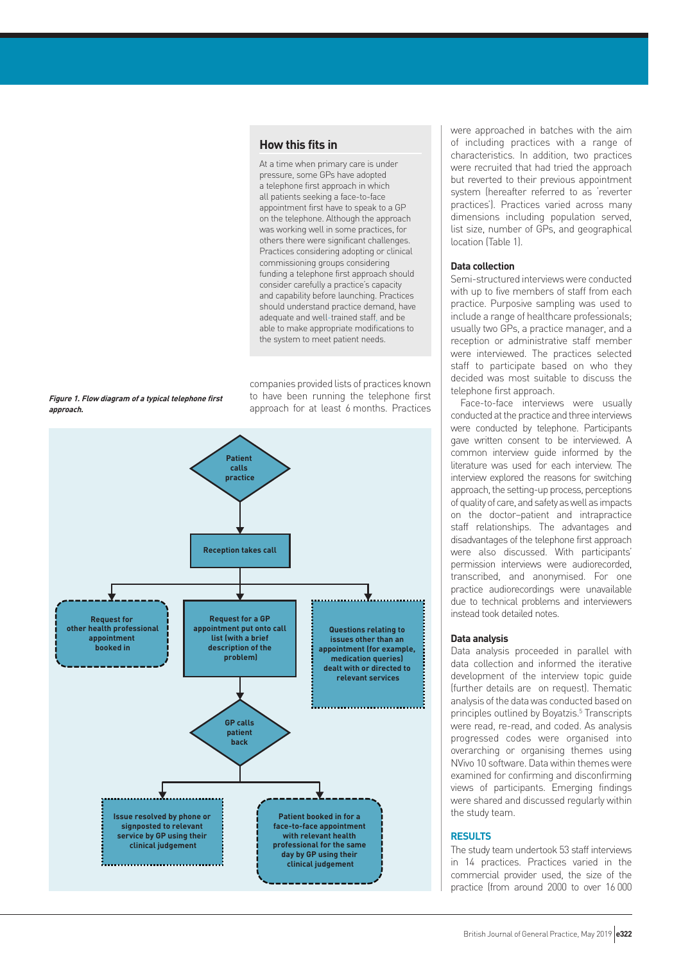# **How this fits in**

At a time when primary care is under pressure, some GPs have adopted a telephone first approach in which all patients seeking a face-to-face appointment first have to speak to a GP on the telephone. Although the approach was working well in some practices, for others there were significant challenges. Practices considering adopting or clinical commissioning groups considering funding a telephone first approach should consider carefully a practice's capacity and capability before launching. Practices should understand practice demand, have adequate and well-trained staff, and be able to make appropriate modifications to the system to meet patient needs.

companies provided lists of practices known to have been running the telephone first approach for at least 6 months. Practices



**Figure 1. Flow diagram of a typical telephone first** 

**approach.**

were approached in batches with the aim of including practices with a range of characteristics. In addition, two practices were recruited that had tried the approach but reverted to their previous appointment system (hereafter referred to as 'reverter practices'). Practices varied across many dimensions including population served, list size, number of GPs, and geographical location (Table 1).

#### **Data collection**

Semi-structured interviews were conducted with up to five members of staff from each practice. Purposive sampling was used to include a range of healthcare professionals; usually two GPs, a practice manager, and a reception or administrative staff member were interviewed. The practices selected staff to participate based on who they decided was most suitable to discuss the telephone first approach.

Face-to-face interviews were usually conducted at the practice and three interviews were conducted by telephone. Participants gave written consent to be interviewed. A common interview guide informed by the literature was used for each interview. The interview explored the reasons for switching approach, the setting-up process, perceptions of quality of care, and safety as well as impacts on the doctor–patient and intrapractice staff relationships. The advantages and disadvantages of the telephone first approach were also discussed. With participants' permission interviews were audiorecorded, transcribed, and anonymised. For one practice audiorecordings were unavailable due to technical problems and interviewers instead took detailed notes.

#### **Data analysis**

Data analysis proceeded in parallel with data collection and informed the iterative development of the interview topic guide (further details are on request). Thematic analysis of the data was conducted based on principles outlined by Boyatzis.<sup>5</sup> Transcripts were read, re-read, and coded. As analysis progressed codes were organised into overarching or organising themes using NVivo 10 software. Data within themes were examined for confirming and disconfirming views of participants. Emerging findings were shared and discussed regularly within the study team.

#### **RESULTS**

The study team undertook 53 staff interviews in 14 practices. Practices varied in the commercial provider used, the size of the practice (from around 2000 to over 16 000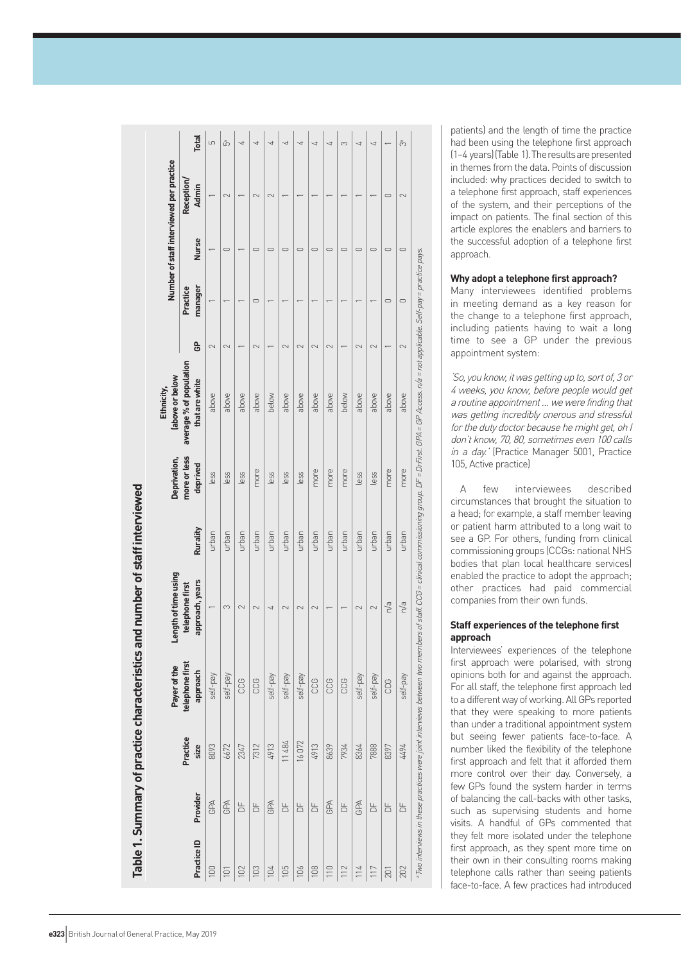|             |                |                  | Payer of the                | Length of time using               |          | Deprivation,             | labove or below<br>Ethnicity,             |          |                     |              | Number of staff interviewed per practice |                |
|-------------|----------------|------------------|-----------------------------|------------------------------------|----------|--------------------------|-------------------------------------------|----------|---------------------|--------------|------------------------------------------|----------------|
| Practice ID | Provider       | Practice<br>size | telephone first<br>approach | approach, years<br>telephone first | Rurality | more or less<br>deprived | average % of population<br>that are white | <u>ဇ</u> | manager<br>Practice | <b>Nurse</b> | Reception/<br><b>Admin</b>               | <b>Total</b>   |
| 100         | GPA            | 8093             | self-pay                    |                                    | urban    | less                     | above                                     | 2        |                     |              |                                          | 5              |
| 101         | GPA            | 6672             | self-pay                    | 3                                  | urban    | less                     | above                                     | $\sim$   |                     | $\cup$       | $\sim$                                   | Ğ,             |
| 102         | $\overline{a}$ | 2347             | CCG                         | 2                                  | urban    | less                     | above                                     |          |                     |              |                                          | 4              |
| 103         | $\overline{a}$ | 7312             | CCG                         | 2                                  | urban    | more                     | above                                     | $\sim$   | ⊂                   | 0            | $\sim$                                   | ↵              |
| 104         | GPA            | 4913             | self-pay                    | ₹                                  | urban    | less                     | below                                     |          |                     | ⊂            | $\sim$                                   | ↵              |
| 105         | $\overline{a}$ | 11484            | self-pay                    | $\sim$                             | urban    | less                     | above                                     | $\sim$   |                     | 0            |                                          | $\overline{ }$ |
| 106         | $\overline{a}$ | 16072            | self-pay                    |                                    | urban    | less                     | above                                     |          |                     | $\bigcirc$   |                                          | ₹              |
| 108         | $\overline{a}$ | 4913             | CCG                         | 2                                  | urban    | more                     | above                                     | $\sim$   |                     | ○            |                                          | ₹              |
| 110         | GPA            | 8639             | CCG                         |                                    | urban    | more                     | above                                     | 2        |                     | $\bigcirc$   |                                          | ᅿ              |
| 112         | 5              | 7934             | CCG                         |                                    | urban    | more                     | below                                     |          |                     | $\circ$      |                                          | 3              |
| 114         | GPA            | 8364             | self-pay                    | $\sim$                             | urban    | less                     | above                                     | 2        |                     | $\cup$       |                                          | 4              |
| 117         | $\overline{a}$ | 7888             | self-pay                    | 2                                  | urban    | less                     | above                                     | 2        |                     | $\bigcirc$   |                                          | ᅿ              |
| 201         | $\overline{a}$ | 8397             | CCG                         | n/a                                | urban    | more                     | above                                     |          | $\bigcirc$          | $\bigcirc$   | $\circ$                                  |                |
| 202         | 농              | 7677             | yed-Jes                     | n/a                                | urban    | more                     | above                                     | $\sim$   | $\circ$             | $\cup$       | 2                                        | ကိ             |

patients) and the length of time the practice had been using the telephone first approach (1–4 years) (Table 1). The results are presented in themes from the data. Points of discussion included: why practices decided to switch to a telephone first approach, staff experiences of the system, and their perceptions of the impact on patients. The final section of this article explores the enablers and barriers to the successful adoption of a telephone first approach.

# **Why adopt a telephone first approach?**

Many interviewees identified problems in meeting demand as a key reason for the change to a telephone first approach, including patients having to wait a long time to see a GP under the previous appointment system:

'So, you know, it was getting up to, sort of, 3 or 4 weeks, you know, before people would get a routine appointment … we were finding that was getting incredibly onerous and stressful for the duty doctor because he might get, oh I don't know, 70, 80, sometimes even 100 calls in a day.' (Practice Manager 5001, Practice 105, Active practice)

A few interviewees described circumstances that brought the situation to a head; for example, a staff member leaving or patient harm attributed to a long wait to see a GP. For others, funding from clinical commissioning groups (CCGs: national NHS bodies that plan local healthcare services) enabled the practice to adopt the approach; other practices had paid commercial companies from their own funds.

## **Staff experiences of the telephone first approach**

Interviewees' experiences of the telephone first approach were polarised, with strong opinions both for and against the approach. For all staff, the telephone first approach led to a different way of working. All GPs reported that they were speaking to more patients than under a traditional appointment system but seeing fewer patients face-to-face. A number liked the flexibility of the telephone first approach and felt that it afforded them more control over their day. Conversely, a few GPs found the system harder in terms of balancing the call-backs with other tasks, such as supervising students and home visits. A handful of GPs commented that they felt more isolated under the telephone first approach, as they spent more time on their own in their consulting rooms making telephone calls rather than seeing patients face-to-face. A few practices had introduced

# Table 1 Summary of practice characterics and number of staff interviewed **Table 1. Summary of practice characteristics and number of staff interviewed**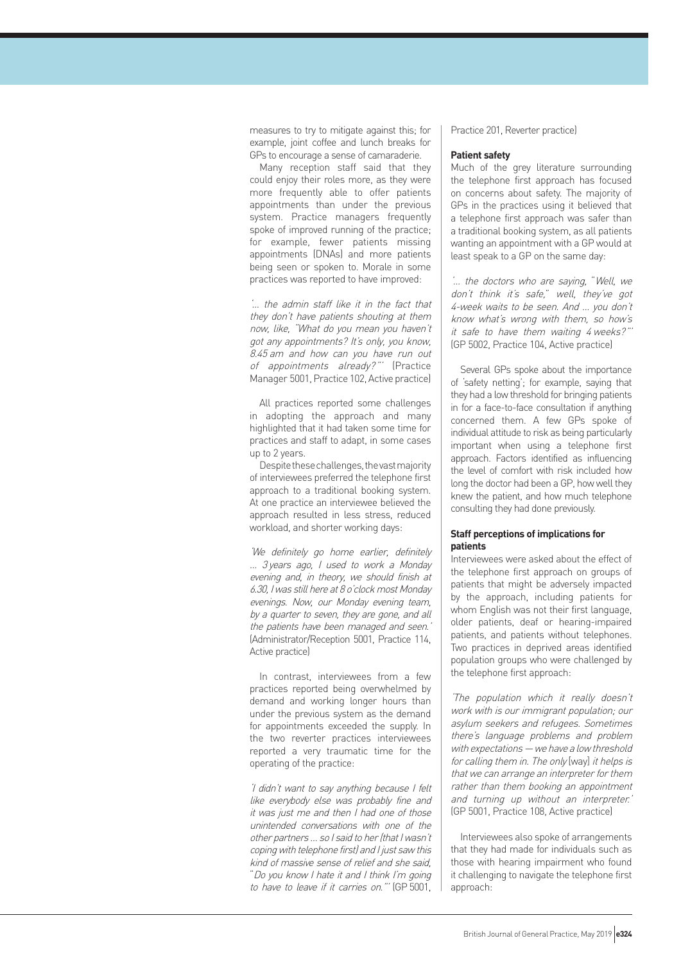measures to try to mitigate against this; for example, joint coffee and lunch breaks for GPs to encourage a sense of camaraderie.

Many reception staff said that they could enjoy their roles more, as they were more frequently able to offer patients appointments than under the previous system. Practice managers frequently spoke of improved running of the practice; for example, fewer patients missing appointments (DNAs) and more patients being seen or spoken to. Morale in some practices was reported to have improved:

'… the admin staff like it in the fact that they don't have patients shouting at them now, like, "What do you mean you haven't got any appointments? It's only, you know, 8.45 am and how can you have run out of appointments already?"' (Practice Manager 5001, Practice 102, Active practice)

All practices reported some challenges in adopting the approach and many highlighted that it had taken some time for practices and staff to adapt, in some cases up to 2 years.

Despite these challenges, the vast majority of interviewees preferred the telephone first approach to a traditional booking system. At one practice an interviewee believed the approach resulted in less stress, reduced workload, and shorter working days:

'We definitely go home earlier, definitely … 3 years ago, I used to work a Monday evening and, in theory, we should finish at 6.30, I was still here at 8 o'clock most Monday evenings. Now, our Monday evening team, by a quarter to seven, they are gone, and all the patients have been managed and seen.' (Administrator/Reception 5001, Practice 114, Active practice)

In contrast, interviewees from a few practices reported being overwhelmed by demand and working longer hours than under the previous system as the demand for appointments exceeded the supply. In the two reverter practices interviewees reported a very traumatic time for the operating of the practice:

'I didn't want to say anything because I felt like everybody else was probably fine and it was just me and then I had one of those unintended conversations with one of the other partners … so I said to her (that I wasn't coping with telephone first) and I just saw this kind of massive sense of relief and she said, "Do you know I hate it and I think I'm going to have to leave if it carries on."' (GP 5001, Practice 201, Reverter practice)

#### **Patient safety**

Much of the grey literature surrounding the telephone first approach has focused on concerns about safety. The majority of GPs in the practices using it believed that a telephone first approach was safer than a traditional booking system, as all patients wanting an appointment with a GP would at least speak to a GP on the same day:

'… the doctors who are saying, "Well, we don't think it's safe," well, they've got 4-week waits to be seen. And … you don't know what's wrong with them, so how's it safe to have them waiting 4 weeks?"' (GP 5002, Practice 104, Active practice)

Several GPs spoke about the importance of 'safety netting'; for example, saying that they had a low threshold for bringing patients in for a face-to-face consultation if anything concerned them. A few GPs spoke of individual attitude to risk as being particularly important when using a telephone first approach. Factors identified as influencing the level of comfort with risk included how long the doctor had been a GP, how well they knew the patient, and how much telephone consulting they had done previously.

# **Staff perceptions of implications for patients**

Interviewees were asked about the effect of the telephone first approach on groups of patients that might be adversely impacted by the approach, including patients for whom English was not their first language, older patients, deaf or hearing-impaired patients, and patients without telephones. Two practices in deprived areas identified population groups who were challenged by the telephone first approach:

'The population which it really doesn't work with is our immigrant population; our asylum seekers and refugees. Sometimes there's language problems and problem with expectations — we have a low threshold for calling them in. The only [way] it helps is that we can arrange an interpreter for them rather than them booking an appointment and turning up without an interpreter.' (GP 5001, Practice 108, Active practice)

Interviewees also spoke of arrangements that they had made for individuals such as those with hearing impairment who found it challenging to navigate the telephone first approach: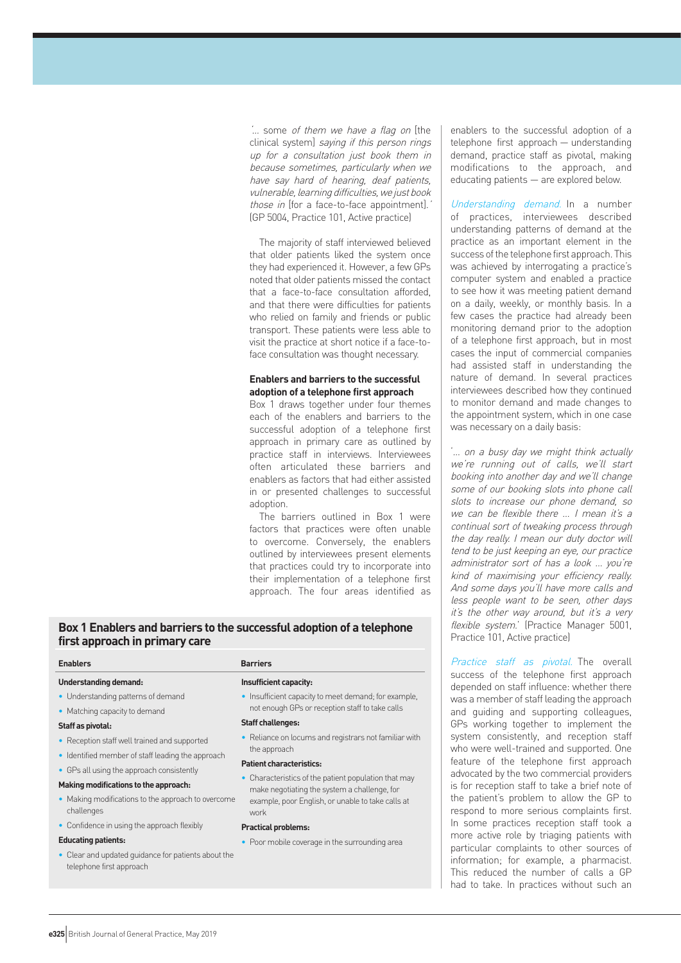'… some of them we have a flag on [the clinical system] saying if this person rings up for a consultation just book them in because sometimes, particularly when we have say hard of hearing, deaf patients, vulnerable, learning difficulties, we just book those in [for a face-to-face appointment]. (GP 5004, Practice 101, Active practice)

The majority of staff interviewed believed that older patients liked the system once they had experienced it. However, a few GPs noted that older patients missed the contact that a face-to-face consultation afforded, and that there were difficulties for patients who relied on family and friends or public transport. These patients were less able to visit the practice at short notice if a face-toface consultation was thought necessary.

## **Enablers and barriers to the successful adoption of a telephone first approach**

Box 1 draws together under four themes each of the enablers and barriers to the successful adoption of a telephone first approach in primary care as outlined by practice staff in interviews. Interviewees often articulated these barriers and enablers as factors that had either assisted in or presented challenges to successful adoption

The barriers outlined in Box 1 were factors that practices were often unable to overcome. Conversely, the enablers outlined by interviewees present elements that practices could try to incorporate into their implementation of a telephone first approach. The four areas identified as

#### • Identified member of staff leading the approach • GPs all using the approach consistently **Patient characteristics:**

**Making modifications to the approach:**

• Reception staff well trained and supported

**first approach in primary care**

• Understanding patterns of demand • Matching capacity to demand

**Understanding demand:**

**Staff as pivotal:** 

**Enablers Barriers**

- Making modifications to the approach to overcome challenges
- Confidence in using the approach flexibly

#### **Educating patients:**

• Clear and updated guidance for patients about the telephone first approach

#### **Insufficient capacity:**

**Box 1 Enablers and barriers to the successful adoption of a telephone** 

• Insufficient capacity to meet demand; for example, not enough GPs or reception staff to take calls

#### **Staff challenges:**

- Reliance on locums and registrars not familiar with the approach
- Characteristics of the patient population that may make negotiating the system a challenge, for example, poor English, or unable to take calls at work

#### **Practical problems:**

• Poor mobile coverage in the surrounding area

enablers to the successful adoption of a telephone first approach — understanding demand, practice staff as pivotal, making modifications to the approach, and educating patients — are explored below.

Understanding demand. In a number of practices, interviewees described understanding patterns of demand at the practice as an important element in the success of the telephone first approach. This was achieved by interrogating a practice's computer system and enabled a practice to see how it was meeting patient demand on a daily, weekly, or monthly basis. In a few cases the practice had already been monitoring demand prior to the adoption of a telephone first approach, but in most cases the input of commercial companies had assisted staff in understanding the nature of demand. In several practices interviewees described how they continued to monitor demand and made changes to the appointment system, which in one case was necessary on a daily basis:

'… on a busy day we might think actually we're running out of calls, we'll start booking into another day and we'll change some of our booking slots into phone call slots to increase our phone demand, so we can be flexible there ... I mean it's a continual sort of tweaking process through the day really. I mean our duty doctor will tend to be just keeping an eye, our practice administrator sort of has a look … you're kind of maximising your efficiency really. And some days you'll have more calls and less people want to be seen, other days it's the other way around, but it's a very flexible system.' (Practice Manager 5001, Practice 101, Active practice)

Practice staff as pivotal. The overall success of the telephone first approach depended on staff influence: whether there was a member of staff leading the approach and guiding and supporting colleagues, GPs working together to implement the system consistently, and reception staff who were well-trained and supported. One feature of the telephone first approach advocated by the two commercial providers is for reception staff to take a brief note of the patient's problem to allow the GP to respond to more serious complaints first. In some practices reception staff took a more active role by triaging patients with particular complaints to other sources of information; for example, a pharmacist. This reduced the number of calls a GP had to take. In practices without such an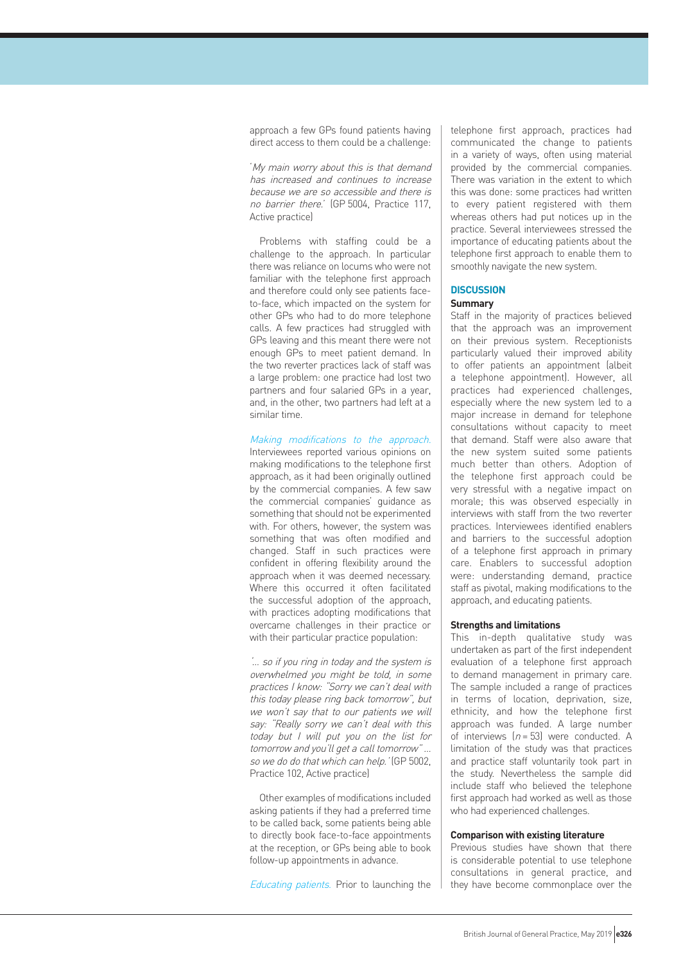approach a few GPs found patients having direct access to them could be a challenge:

'My main worry about this is that demand has increased and continues to increase because we are so accessible and there is no barrier there.' (GP 5004, Practice 117, Active practice)

Problems with staffing could be a challenge to the approach. In particular there was reliance on locums who were not familiar with the telephone first approach and therefore could only see patients faceto-face, which impacted on the system for other GPs who had to do more telephone calls. A few practices had struggled with GPs leaving and this meant there were not enough GPs to meet patient demand. In the two reverter practices lack of staff was a large problem: one practice had lost two partners and four salaried GPs in a year, and, in the other, two partners had left at a similar time.

#### Making modifications to the approach.

Interviewees reported various opinions on making modifications to the telephone first approach, as it had been originally outlined by the commercial companies. A few saw the commercial companies' guidance as something that should not be experimented with. For others, however, the system was something that was often modified and changed. Staff in such practices were confident in offering flexibility around the approach when it was deemed necessary. Where this occurred it often facilitated the successful adoption of the approach, with practices adopting modifications that overcame challenges in their practice or with their particular practice population:

'… so if you ring in today and the system is overwhelmed you might be told, in some practices I know: "Sorry we can't deal with this today please ring back tomorrow", but we won't say that to our patients we will say: "Really sorry we can't deal with this today but I will put you on the list for tomorrow and you'll get a call tomorrow" … so we do do that which can help.' (GP 5002, Practice 102, Active practice)

Other examples of modifications included asking patients if they had a preferred time to be called back, some patients being able to directly book face-to-face appointments at the reception, or GPs being able to book follow-up appointments in advance.

Educating patients. Prior to launching the

telephone first approach, practices had communicated the change to patients in a variety of ways, often using material provided by the commercial companies. There was variation in the extent to which this was done: some practices had written to every patient registered with them whereas others had put notices up in the practice. Several interviewees stressed the importance of educating patients about the telephone first approach to enable them to smoothly navigate the new system.

#### **DISCUSSION**

# **Summary**

Staff in the majority of practices believed that the approach was an improvement on their previous system. Receptionists particularly valued their improved ability to offer patients an appointment (albeit a telephone appointment). However, all practices had experienced challenges, especially where the new system led to a major increase in demand for telephone consultations without capacity to meet that demand. Staff were also aware that the new system suited some patients much better than others. Adoption of the telephone first approach could be very stressful with a negative impact on morale; this was observed especially in interviews with staff from the two reverter practices. Interviewees identified enablers and barriers to the successful adoption of a telephone first approach in primary care. Enablers to successful adoption were: understanding demand, practice staff as pivotal, making modifications to the approach, and educating patients.

#### **Strengths and limitations**

This in-depth qualitative study was undertaken as part of the first independent evaluation of a telephone first approach to demand management in primary care. The sample included a range of practices in terms of location, deprivation, size, ethnicity, and how the telephone first approach was funded. A large number of interviews  $(n = 53)$  were conducted. A limitation of the study was that practices and practice staff voluntarily took part in the study. Nevertheless the sample did include staff who believed the telephone first approach had worked as well as those who had experienced challenges.

# **Comparison with existing literature**

Previous studies have shown that there is considerable potential to use telephone consultations in general practice, and they have become commonplace over the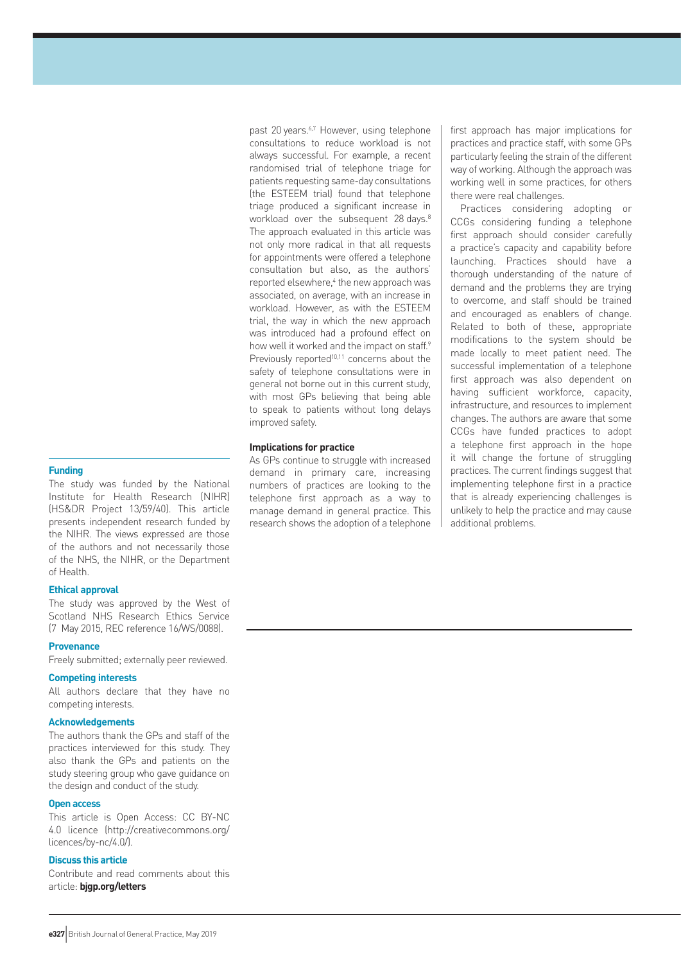The study was funded by the National Institute for Health Research (NIHR) (HS&DR Project 13/59/40). This article presents independent research funded by the NIHR. The views expressed are those of the authors and not necessarily those of the NHS, the NIHR, or the Department of Health.

#### **Ethical approval**

The study was approved by the West of Scotland NHS Research Ethics Service (7 May 2015, REC reference 16/WS/0088).

#### **Provenance**

Freely submitted; externally peer reviewed.

#### **Competing interests**

All authors declare that they have no competing interests.

# **Acknowledgements**

The authors thank the GPs and staff of the practices interviewed for this study. They also thank the GPs and patients on the study steering group who gave guidance on the design and conduct of the study.

# **Open access**

This article is Open Access: CC BY-NC 4.0 licence (http://creativecommons.org/ licences/by-nc/4.0/).

# **Discuss this article**

Contribute and read comments about this article: **bjgp.org/letters**

past 20 years.<sup>6,7</sup> However, using telephone consultations to reduce workload is not always successful. For example, a recent randomised trial of telephone triage for patients requesting same-day consultations (the ESTEEM trial) found that telephone triage produced a significant increase in workload over the subsequent 28 days.<sup>8</sup> The approach evaluated in this article was not only more radical in that all requests for appointments were offered a telephone consultation but also, as the authors' reported elsewhere,<sup>4</sup> the new approach was associated, on average, with an increase in workload. However, as with the ESTEEM trial, the way in which the new approach was introduced had a profound effect on how well it worked and the impact on staff.<sup>9</sup> Previously reported<sup>10,11</sup> concerns about the safety of telephone consultations were in general not borne out in this current study, with most GPs believing that being able to speak to patients without long delays improved safety.

# **Implications for practice**

As GPs continue to struggle with increased demand in primary care, increasing numbers of practices are looking to the telephone first approach as a way to manage demand in general practice. This research shows the adoption of a telephone

first approach has major implications for practices and practice staff, with some GPs particularly feeling the strain of the different way of working. Although the approach was working well in some practices, for others there were real challenges.

Practices considering adopting or CCGs considering funding a telephone first approach should consider carefully a practice's capacity and capability before launching. Practices should have a thorough understanding of the nature of demand and the problems they are trying to overcome, and staff should be trained and encouraged as enablers of change. Related to both of these, appropriate modifications to the system should be made locally to meet patient need. The successful implementation of a telephone first approach was also dependent on having sufficient workforce, capacity, infrastructure, and resources to implement changes. The authors are aware that some CCGs have funded practices to adopt a telephone first approach in the hope it will change the fortune of struggling practices. The current findings suggest that implementing telephone first in a practice that is already experiencing challenges is unlikely to help the practice and may cause additional problems.